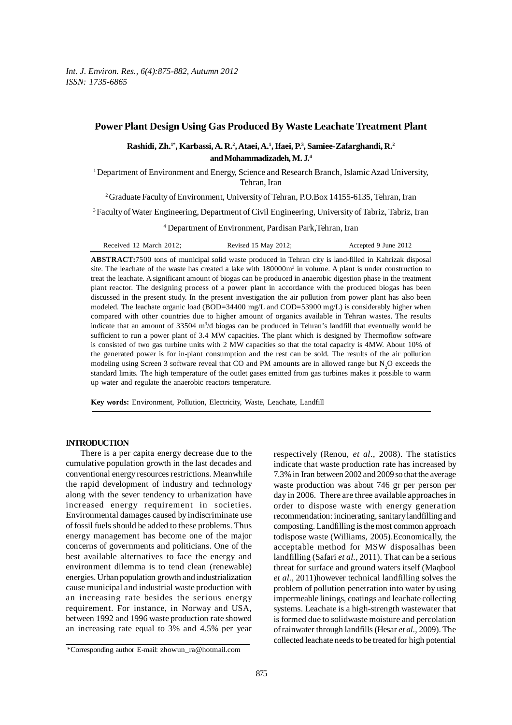# **Power Plant Design Using Gas Produced By Waste Leachate Treatment Plant**

## **Rashidi, Zh.1\*, Karbassi, A. R.2 , Ataei, A.1 , Ifaei, P.3 , Samiee-Zafarghandi, R.2 and Mohammadizadeh, M. J.4**

1 Department of Environment and Energy, Science and Research Branch, Islamic Azad University, Tehran, Iran

<sup>2</sup> Graduate Faculty of Environment, University of Tehran, P.O.Box 14155-6135, Tehran, Iran

3 Faculty of Water Engineering, Department of Civil Engineering, University of Tabriz, Tabriz, Iran

4 Department of Environment, Pardisan Park,Tehran, Iran

| Received 12 March 2012; | Revised 15 May 2012; | Accepted 9 June 2012 |
|-------------------------|----------------------|----------------------|
|-------------------------|----------------------|----------------------|

**ABSTRACT:**7500 tons of municipal solid waste produced in Tehran city is land-filled in Kahrizak disposal site. The leachate of the waste has created a lake with  $180000m<sup>3</sup>$  in volume. A plant is under construction to treat the leachate. A significant amount of biogas can be produced in anaerobic digestion phase in the treatment plant reactor. The designing process of a power plant in accordance with the produced biogas has been discussed in the present study. In the present investigation the air pollution from power plant has also been modeled. The leachate organic load (BOD=34400 mg/L and COD=53900 mg/L) is considerably higher when compared with other countries due to higher amount of organics available in Tehran wastes. The results indicate that an amount of 33504 m<sup>3</sup>/d biogas can be produced in Tehran's landfill that eventually would be sufficient to run a power plant of 3.4 MW capacities. The plant which is designed by Thermoflow software is consisted of two gas turbine units with 2 MW capacities so that the total capacity is 4MW. About 10% of the generated power is for in-plant consumption and the rest can be sold. The results of the air pollution modeling using Screen 3 software reveal that CO and PM amounts are in allowed range but  $N_2O$  exceeds the standard limits. The high temperature of the outlet gases emitted from gas turbines makes it possible to warm up water and regulate the anaerobic reactors temperature.

**Key words:** Environment, Pollution, Electricity, Waste, Leachate, Landfill

### **INTRODUCTION**

There is a per capita energy decrease due to the cumulative population growth in the last decades and conventional energy resources restrictions. Meanwhile the rapid development of industry and technology along with the sever tendency to urbanization have increased energy requirement in societies. Environmental damages caused by indiscriminate use of fossil fuels should be added to these problems. Thus energy management has become one of the major concerns of governments and politicians. One of the best available alternatives to face the energy and environment dilemma is to tend clean (renewable) energies. Urban population growth and industrialization cause municipal and industrial waste production with an increasing rate besides the serious energy requirement. For instance, in Norway and USA, between 1992 and 1996 waste production rate showed an increasing rate equal to 3% and 4.5% per year

respectively (Renou, *et al*., 2008). The statistics indicate that waste production rate has increased by 7.3% in Iran between 2002 and 2009 so that the average waste production was about 746 gr per person per day in 2006. There are three available approaches in order to dispose waste with energy generation recommendation: incinerating, sanitary landfilling and composting. Landfilling is the most common approach todispose waste (Williams, 2005).Economically, the acceptable method for MSW disposalhas been landfilling (Safari *et al.,* 2011). That can be a serious threat for surface and ground waters itself (Maqbool *et al.,* 2011)however technical landfilling solves the problem of pollution penetration into water by using impermeable linings, coatings and leachate collecting systems. Leachate is a high-strength wastewater that is formed due to solidwaste moisture and percolation of rainwater through landfills (Hesar *et al.,* 2009). The collected leachate needs to be treated for high potential

<sup>\*</sup>Corresponding author E-mail: zhowun\_ra@hotmail.com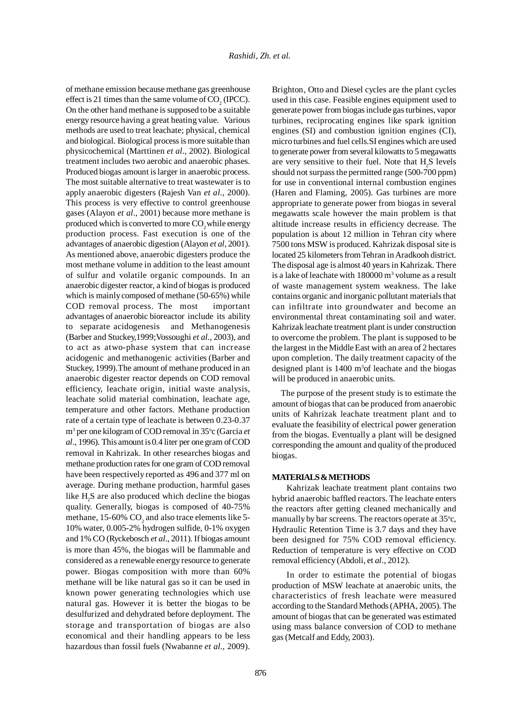of methane emission because methane gas greenhouse effect is 21 times than the same volume of  $\mathrm{CO}_2$  (IPCC). On the other hand methane is supposed to be a suitable energy resource having a great heating value. Various methods are used to treat leachate; physical, chemical and biological. Biological process is more suitable than physicochemical (Marttinen *et al*., 2002). Biological treatment includes two aerobic and anaerobic phases. Produced biogas amount is larger in anaerobic process. The most suitable alternative to treat wastewater is to apply anaerobic digesters (Rajesh Van *et al.*, 2000). This process is very effective to control greenhouse gases (Alayon *et al*., 2001) because more methane is produced which is converted to more CO<sub>2</sub> while energy production process. Fast execution is one of the advantages of anaerobic digestion (Alayon *et al*, 2001). As mentioned above, anaerobic digesters produce the most methane volume in addition to the least amount of sulfur and volatile organic compounds. In an anaerobic digester reactor, a kind of biogas is produced which is mainly composed of methane (50-65%) while COD removal process. The most important advantages of anaerobic bioreactor include its ability to separate acidogenesis and Methanogenesis (Barber and Stuckey,1999;Vossoughi *et al.,* 2003), and to act as atwo-phase system that can increase acidogenic and methanogenic activities (Barber and Stuckey, 1999).The amount of methane produced in an anaerobic digester reactor depends on COD removal efficiency, leachate origin, initial waste analysis, leachate solid material combination, leachate age, temperature and other factors. Methane production rate of a certain type of leachate is between 0.23-0.37 m<sup>3</sup> per one kilogram of COD removal in 35°c (Garcia *et al*., 1996). This amount is 0.4 liter per one gram of COD removal in Kahrizak. In other researches biogas and methane production rates for one gram of COD removal have been respectively reported as 496 and 377 ml on average. During methane production, harmful gases like H<sub>2</sub>S are also produced which decline the biogas quality. Generally, biogas is composed of 40-75% methane, 15-60%  $\rm CO_2$  and also trace elements like 5-10% water, 0.005-2% hydrogen sulfide, 0-1% oxygen and 1% CO (Ryckebosch *et al*., 2011). If biogas amount is more than 45%, the biogas will be flammable and considered as a renewable energy resource to generate power. Biogas composition with more than 60% methane will be like natural gas so it can be used in known power generating technologies which use natural gas. However it is better the biogas to be desulfurized and dehydrated before deployment. The storage and transportation of biogas are also economical and their handling appears to be less hazardous than fossil fuels (Nwabanne *et al*., 2009). Brighton, Otto and Diesel cycles are the plant cycles used in this case. Feasible engines equipment used to generate power from biogas include gas turbines, vapor turbines, reciprocating engines like spark ignition engines (SI) and combustion ignition engines (CI), micro turbines and fuel cells.SI engines which are used to generate power from several kilowatts to 5 megawatts are very sensitive to their fuel. Note that  $H_2S$  levels should not surpass the permitted range (500-700 ppm) for use in conventional internal combustion engines (Haren and Flaming, 2005). Gas turbines are more appropriate to generate power from biogas in several megawatts scale however the main problem is that altitude increase results in efficiency decrease. The population is about 12 million in Tehran city where 7500 tons MSW is produced. Kahrizak disposal site is located 25 kilometers from Tehran in Aradkooh district. The disposal age is almost 40 years in Kahrizak. There is a lake of leachate with 180000 m<sup>3</sup> volume as a result of waste management system weakness. The lake contains organic and inorganic pollutant materials that can infiltrate into groundwater and become an environmental threat contaminating soil and water. Kahrizak leachate treatment plant is under construction to overcome the problem. The plant is supposed to be the largest in the Middle East with an area of 2 hectares upon completion. The daily treatment capacity of the designed plant is  $1400 \text{ m}^3$  of leachate and the biogas will be produced in anaerobic units.

 The purpose of the present study is to estimate the amount of biogas that can be produced from anaerobic units of Kahrizak leachate treatment plant and to evaluate the feasibility of electrical power generation from the biogas. Eventually a plant will be designed corresponding the amount and quality of the produced biogas.

#### **MATERIALS & METHODS**

Kahrizak leachate treatment plant contains two hybrid anaerobic baffled reactors. The leachate enters the reactors after getting cleaned mechanically and manually by bar screens. The reactors operate at 35°c, Hydraulic Retention Time is 3.7 days and they have been designed for 75% COD removal efficiency. Reduction of temperature is very effective on COD removal efficiency (Abdoli, et *al*., 2012)*.*

In order to estimate the potential of biogas production of MSW leachate at anaerobic units, the characteristics of fresh leachate were measured according to the Standard Methods (APHA, 2005). The amount of biogas that can be generated was estimated using mass balance conversion of COD to methane gas (Metcalf and Eddy, 2003).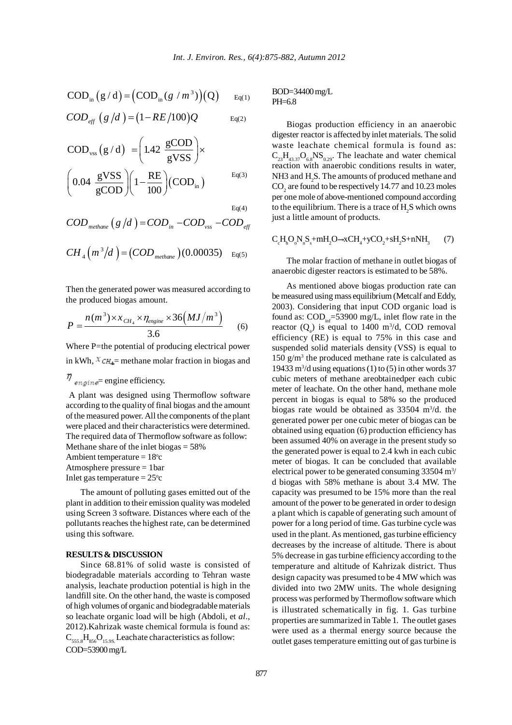$$
COD_{in} (g/d) = (COD_{in} (g/m^3))(Q) \qquad Eq(1)
$$

$$
COD_{eff} (g/d) = (1 - RE/100)Q
$$
 Eq(2)

$$
COD_{\text{vss}}(g/d) = \left(1.42 \frac{\text{gCOD}}{\text{gVSS}}\right) \times
$$

$$
\left(0.04 \frac{\text{gVSS}}{\text{gCOD}}\right) \left(1 - \frac{\text{RE}}{100}\right) (COD_{\text{in}}) \qquad \qquad \text{Eq(3)}
$$

 $Eq(4)$ 

$$
COD_{\text{methane}} (g/d) = COD_{\text{in}} - COD_{\text{vss}} - COD_{\text{eff}}
$$

$$
CH_4(m^3/d) = (COD_{\text{methane}})(0.00035) \text{ } E_q(5)
$$

Then the generated power was measured according to the produced biogas amount.

$$
P = \frac{n(m^{3}) \times x_{CH_{4}} \times \eta_{engine} \times 36 \left(MJ/m^{3}\right)}{3.6}
$$
 (6)

Where P=the potential of producing electrical power in kWh,  $\chi$ <sub>CH<sub>4</sub>= methane molar fraction in biogas and</sub> m

$$
q_{\text{engine}} =
$$
 engine efficiency.

 A plant was designed using Thermoflow software according to the quality of final biogas and the amount of the measured power. All the components of the plant were placed and their characteristics were determined. The required data of Thermoflow software as follow: Methane share of the inlet biogas = 58% Ambient temperature  $= 18$ °c Atmosphere pressure = 1bar Inlet gas temperature  $= 25^{\circ}c$ 

The amount of polluting gases emitted out of the plant in addition to their emission quality was modeled using Screen 3 software. Distances where each of the pollutants reaches the highest rate, can be determined using this software.

### **RESULTS & DISCUSSION**

 Since 68.81% of solid waste is consisted of biodegradable materials according to Tehran waste analysis, leachate production potential is high in the landfill site. On the other hand, the waste is composed of high volumes of organic and biodegradable materials so leachate organic load will be high (Abdoli, et *al*., 2012).Kahrizak waste chemical formula is found as:  $C_{555,8}H_{856}O_{15,98}$  Leachate characteristics as follow: COD=53900 mg/L

BOD=34400 mg/L  $PH=6.8$ 

Biogas production efficiency in an anaerobic digester reactor is affected by inlet materials. The solid waste leachate chemical formula is found as:  $C_{23}H_{43,37}O_{6,8}NS_{0,29}$ . The leachate and water chemical reaction with anaerobic conditions results in water, NH3 and  $\text{H}_2\text{S}$ . The amounts of produced methane and  $\mathrm{CO}_2$  are found to be respectively 14.77 and 10.23 moles per one mole of above-mentioned compound according to the equilibrium. There is a trace of  $\mathrm{H}_2\mathrm{S}$  which owns just a little amount of products.

$$
C_cH_hO_oN_nS_s + mH_2O \rightarrow xCH_4 + yCO_2 + sH_2S + nNH_3 \qquad (7)
$$

The molar fraction of methane in outlet biogas of anaerobic digester reactors is estimated to be 58%.

As mentioned above biogas production rate can be measured using mass equilibrium (Metcalf and Eddy, 2003). Considering that input COD organic load is found as:  $\text{COD}_{\text{int}}$ =53900 mg/L, inlet flow rate in the reactor  $(Q_a)$  is equal to 1400 m<sup>3</sup>/d, COD removal efficiency (RE) is equal to 75% in this case and suspended solid materials density (VSS) is equal to  $150$  g/m<sup>3</sup> the produced methane rate is calculated as 19433 m<sup>3</sup>/d using equations (1) to (5) in other words 37 cubic meters of methane areobtainedper each cubic meter of leachate. On the other hand, methane mole percent in biogas is equal to 58% so the produced biogas rate would be obtained as  $33504 \text{ m}^3/\text{d}$ . the generated power per one cubic meter of biogas can be obtained using equation (6) production efficiency has been assumed 40% on average in the present study so the generated power is equal to 2.4 kwh in each cubic meter of biogas. It can be concluded that available electrical power to be generated consuming 33504 m<sup>3</sup>/ d biogas with 58% methane is about 3.4 MW. The capacity was presumed to be 15% more than the real amount of the power to be generated in order to design a plant which is capable of generating such amount of power for a long period of time. Gas turbine cycle was used in the plant. As mentioned, gas turbine efficiency decreases by the increase of altitude. There is about 5% decrease in gas turbine efficiency according to the temperature and altitude of Kahrizak district. Thus design capacity was presumed to be 4 MW which was divided into two 2MW units. The whole designing process was performed by Thermoflow software which is illustrated schematically in fig. 1. Gas turbine properties are summarized in Table 1. The outlet gases were used as a thermal energy source because the outlet gases temperature emitting out of gas turbine is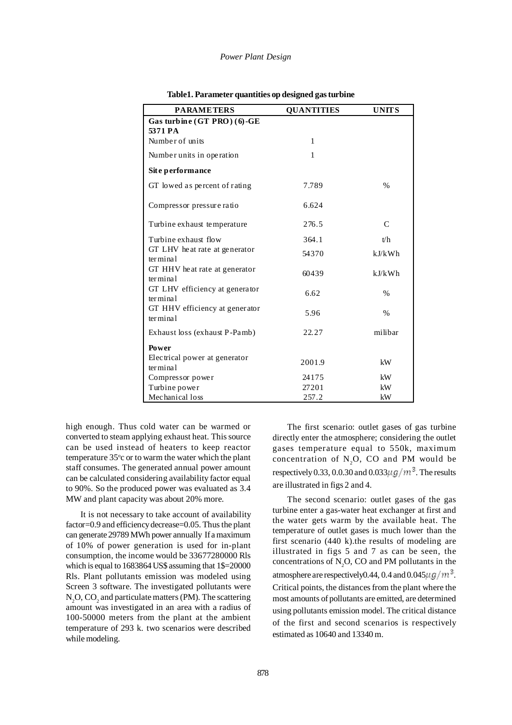#### *Power Plant Design*

| <b>PARAMETERS</b>                                    | <b>QUANTITIES</b> | <b>UNITS</b>  |
|------------------------------------------------------|-------------------|---------------|
| Gas turbine (GT PRO) (6)-GE<br>5371 PA               |                   |               |
| Number of units                                      | 1                 |               |
| Number units in operation                            | 1                 |               |
| Site performance                                     |                   |               |
| GT lowed as percent of rating                        | 7.789             | $\frac{0}{0}$ |
| Compressor pressure ratio                            | 6.624             |               |
| Turbine exhaust temperature                          | 276.5             | $\mathcal{C}$ |
| Turbine exhaust flow                                 | 364.1             | t/h           |
| GT LHV heat rate at generator<br>termin <sub>1</sub> | 54370             | kJ/kWh        |
| GT HHV heat rate at generator<br>termin <sub>1</sub> | 60439             | kJ/kWh        |
| GT LHV efficiency at generator<br>terminal           | 6.62              | $\frac{0}{0}$ |
| GT HHV efficiency at generator<br>ter minal          | 5.96              | $\frac{0}{0}$ |
| Exhaust loss (exhaust P-Pamb)                        | 22.27             | milibar       |
| Power                                                |                   |               |
| Electrical power at generator<br>terminal            | 2001.9            | kW            |
| Compressor power                                     | 24175             | kW            |
| Turbine power                                        | 27201             | kW            |
| Mechanical loss                                      | 257.2             | kW            |

| Table1. Parameter quantities op designed gas turbine |  |  |  |  |
|------------------------------------------------------|--|--|--|--|
|------------------------------------------------------|--|--|--|--|

high enough. Thus cold water can be warmed or converted to steam applying exhaust heat. This source can be used instead of heaters to keep reactor temperature 35°c or to warm the water which the plant staff consumes. The generated annual power amount can be calculated considering availability factor equal to 90%. So the produced power was evaluated as 3.4 MW and plant capacity was about 20% more.

It is not necessary to take account of availability factor=0.9 and efficiency decrease=0.05. Thus the plant can generate 29789 MWh power annually If a maximum of 10% of power generation is used for in-plant consumption, the income would be 33677280000 Rls which is equal to 1683864 US\$ assuming that 1\$=20000 Rls. Plant pollutants emission was modeled using Screen 3 software. The investigated pollutants were  $N_2$ O, CO<sub>2</sub> and particulate matters (PM). The scattering amount was investigated in an area with a radius of 100-50000 meters from the plant at the ambient temperature of 293 k. two scenarios were described while modeling.

The first scenario: outlet gases of gas turbine directly enter the atmosphere; considering the outlet gases temperature equal to 550k, maximum concentration of  $N_2O$ , CO and PM would be respectively 0.33, 0.0.30 and 0.033 $\mu$ g/m<sup>3</sup>. The results are illustrated in figs 2 and 4.

The second scenario: outlet gases of the gas turbine enter a gas-water heat exchanger at first and the water gets warm by the available heat. The temperature of outlet gases is much lower than the first scenario (440 k).the results of modeling are illustrated in figs 5 and 7 as can be seen, the concentrations of  $N_2O$ , CO and PM pollutants in the atmosphere are respectively 0.44, 0.4 and 0.045  $\mu$  g/m<sup>3</sup>. Critical points, the distances from the plant where the most amounts of pollutants are emitted, are determined using pollutants emission model. The critical distance of the first and second scenarios is respectively estimated as 10640 and 13340 m.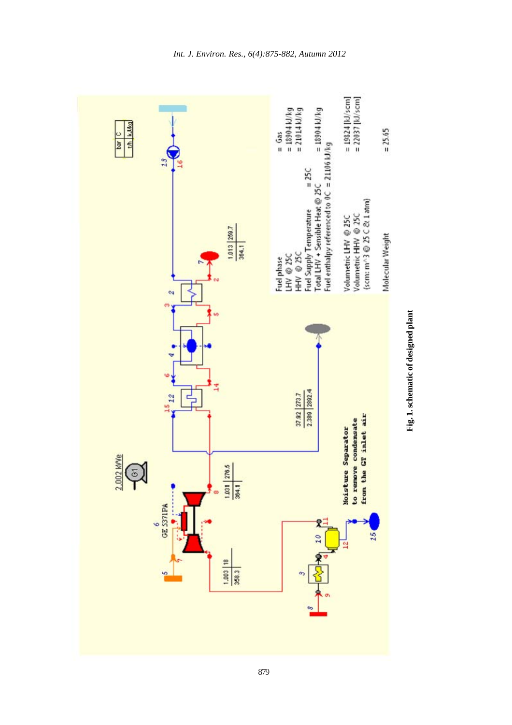

Fig. 1. schematic of designed plant **Fig. 1. schematic of designed plant**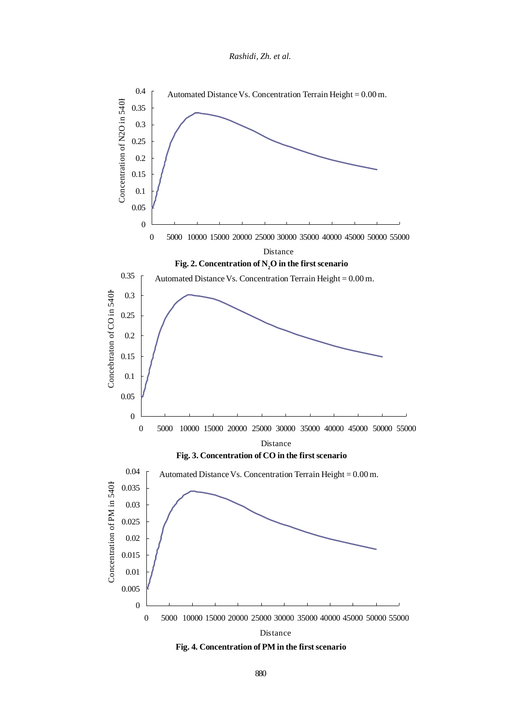*Rashidi, Zh. et al.*



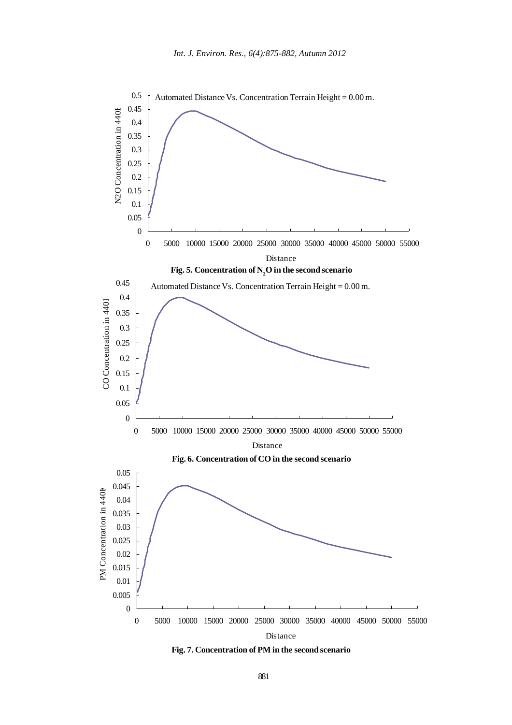

**Fig. 7. Concentration of PM in the second scenario**